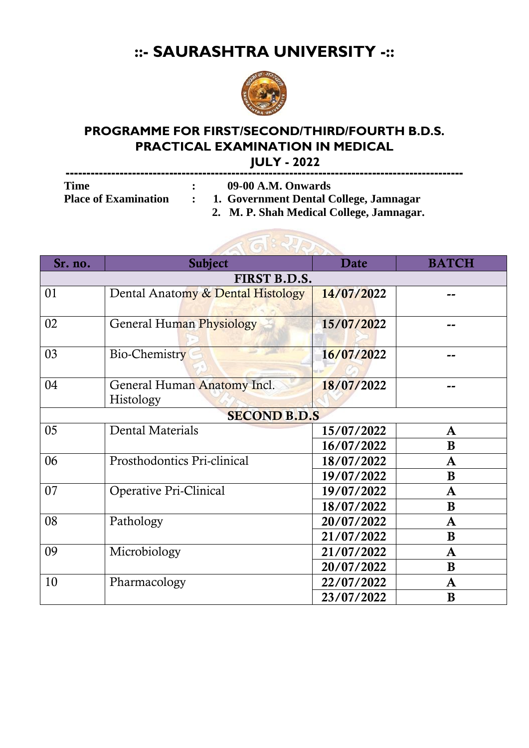## **::- SAURASHTRA UNIVERSITY -::**



## **PROGRAMME FOR FIRST/SECOND/THIRD/FOURTH B.D.S. PRACTICAL EXAMINATION IN MEDICAL**

 **JULY - 2022**

| <b>Time</b> | 09-00 A.M. Onwards                                            |
|-------------|---------------------------------------------------------------|
|             | Place of Examination : 1. Government Dental College, Jamnagar |
|             | 2. M. P. Shah Medical College, Jamnagar.                      |



| Sr. no.             | <b>Subject</b>                           | Date       | <b>BATCH</b> |  |  |  |  |
|---------------------|------------------------------------------|------------|--------------|--|--|--|--|
| FIRST B.D.S.        |                                          |            |              |  |  |  |  |
| 01                  | Dental Anatomy & Dental Histology        | 14/07/2022 |              |  |  |  |  |
| 02                  | General Human Physiology                 | 15/07/2022 |              |  |  |  |  |
| 03                  | Bio-Chemistry                            | 16/07/2022 |              |  |  |  |  |
| 04                  | General Human Anatomy Incl.<br>Histology | 18/07/2022 |              |  |  |  |  |
| <b>SECOND B.D.S</b> |                                          |            |              |  |  |  |  |
| 05                  | Dental Materials                         | 15/07/2022 | $\mathbf A$  |  |  |  |  |
|                     |                                          | 16/07/2022 | B            |  |  |  |  |
| 06                  | Prosthodontics Pri-clinical              | 18/07/2022 | A            |  |  |  |  |
|                     |                                          | 19/07/2022 | B            |  |  |  |  |
| 07                  | Operative Pri-Clinical                   | 19/07/2022 | A            |  |  |  |  |
|                     |                                          | 18/07/2022 | B            |  |  |  |  |
| 08                  | Pathology                                | 20/07/2022 | A            |  |  |  |  |
|                     |                                          | 21/07/2022 | B            |  |  |  |  |
| 09                  | Microbiology                             | 21/07/2022 | $\mathbf A$  |  |  |  |  |
|                     |                                          | 20/07/2022 | B            |  |  |  |  |
| 10                  | Pharmacology                             | 22/07/2022 | A            |  |  |  |  |
|                     |                                          | 23/07/2022 | B            |  |  |  |  |